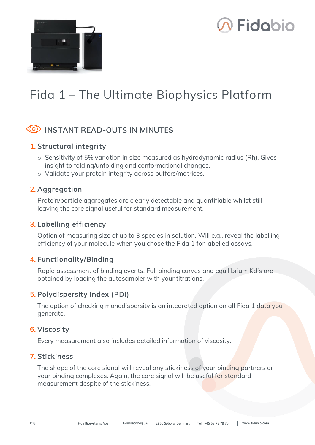



## **Fida 1 – The Ultimate Biophysics Platform**

#### **INSTANT READ-OUTS IN MINUTES**

#### 1. Structural integrity

- o Sensitivity of 5% variation in size measured as hydrodynamic radius (Rh). Gives insight to folding/unfolding and conformational changes.
- o Validate your protein integrity across buffers/matrices.

#### 2. Aggregation

Protein/particle aggregates are clearly detectable and quantifiable whilst still leaving the core signal useful for standard measurement.

#### 3. Labelling efficiency

Option of measuring size of up to 3 species in solution. Will e.g., reveal the labelling efficiency of your molecule when you chose the Fida 1 for labelled assays.

#### 4. Functionality/Binding

Rapid assessment of binding events. Full binding curves and equilibrium Kd's are obtained by loading the autosampler with your titrations.

#### 5. Polydispersity Index (PDI)

The option of checking monodispersity is an integrated option on all Fida 1 data you generate.

#### 6. Viscosity

Every measurement also includes detailed information of viscosity.

#### 7. Stickiness

The shape of the core signal will reveal any stickiness of your binding partners or your binding complexes. Again, the core signal will be useful for standard measurement despite of the stickiness.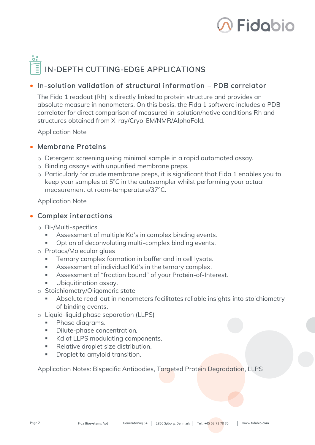

# IN-DEPTH CUTTING-EDGE APPLICATIONS

#### • In-solution validation of structural information – PDB correlator

The Fida 1 readout (Rh) is directly linked to protein structure and provides an absolute measure in nanometers. On this basis, the Fida 1 software includes a PDB correlator for direct comparison of measured in-solution/native conditions Rh and structures obtained from X-ray/Cryo-EM/NMR/AlphaFold.

**[Application Note](https://fidabio.com/pdb-correlator-application-note/)** 

#### • Membrane Proteins

- o Detergent screening using minimal sample in a rapid automated assay.
- o Binding assays with unpurified membrane preps.
- o Particularly for crude membrane preps, it is significant that Fida 1 enables you to keep your samples at 5°C in the autosampler whilst performing your actual measurement at room-temperature/37°C.

[Application Note](https://fidabio.com/membrane-protein-detergent-screening-application-note/)

#### • Complex interactions

- o Bi-/Multi-specifics
	- Assessment of multiple Kd's in complex binding events.
	- Option of deconvoluting multi-complex binding events.
- o Protacs/Molecular glues
	- Ternary complex formation in buffer and in cell lysate.
	- Assessment of individual Kd's in the ternary complex.
	- Assessment of "fraction bound" of your Protein-of-Interest.
	- Ubiquitination assay.
- o Stoichiometry/Oligomeric state
	- Absolute read-out in nanometers facilitates reliable insights into stoichiometry of binding events.
- o Liquid-liquid phase separation (LLPS)
	- Phase diagrams.
	- Dilute-phase concentration.
	- Kd of LLPS modulating components.
	- Relative droplet size distribution.
	- Droplet to amyloid transition.

Application Notes: [Bispecific Antibodies,](https://fidabio.com/bispecific-antibodies-application-note/) [Targeted Protein Degradation,](https://fidabio.com/targeted-protein-degradation-application-note/) [LLPS](https://fidabio.com/llps-application-note/)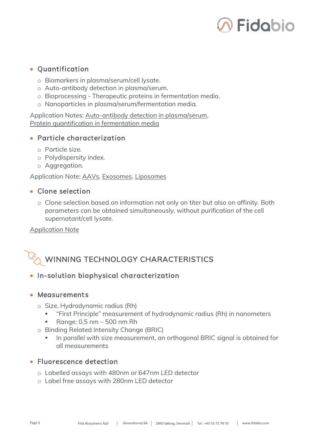

#### • Quantification

- o Biomarkers in plasma/serum/cell lysate.
- o Auto-antibody detection in plasma/serum.
- o Bioprocessing Therapeutic proteins in fermentation media.
- o Nanoparticles in plasma/serum/fermentation media.

Application Notes: Auto-antibody [detection in plasma/serum,](https://fidabio.com/auto-antibodies-detection-in-sle-patients-application-note/) Protein quantification [in fermentation](https://fidabio.com/igg-quantification-in-fermentation-media-application-note/) media

#### • Particle characterization

- o Particle size.
- o Polydispersity index.
- o Aggregation.

Application Note: [AAVs,](https://fidabio.com/aav-characterization-application-note/) [Exosomes,](https://fidabio.com/wp-content/uploads/Fidabio-App-Note_Quantification-and-Characterisation-of-Exosomes.pdf) [Liposomes](https://fidabio.com/peptide-liposome-interactions-application-note/)

#### • Clone selection

o Clone selection based on information not only on titer but also on affinity. Both parameters can be obtained simultaneously, without purification of the cell supernatant/cell lysate.

[Application Note](https://fidabio.com/vhh-clone-selection-application-note/)

### WINNING TECHNOLOGY CHARACTERISTICS

#### • In-solution biophysical characterization

#### • Measurements

- o Size, Hydrodynamic radius (Rh)
	- "First Principle" measurement of hydrodynamic radius (Rh) in nanometers
	- Range: 0,5 nm 500 nm Rh
- o Binding Related Intensity Change (BRIC)
	- In parallel with size measurement, an orthogonal BRIC signal is obtained for all measurements

#### • Fluorescence detection

- o Labelled assays with 480nm or 647nm LED detector
- o Label free assays with 280nm LED detector